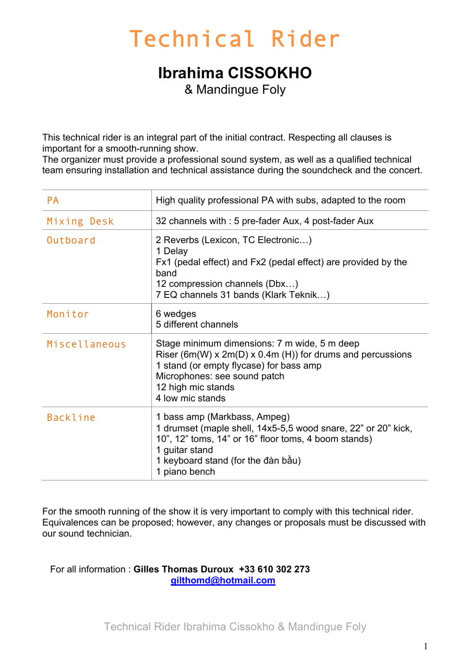# Technical Rider

### **Ibrahima CISSOKHO**

& Mandingue Foly

This technical rider is an integral part of the initial contract. Respecting all clauses is important for a smooth-running show.

The organizer must provide a professional sound system, as well as a qualified technical team ensuring installation and technical assistance during the soundcheck and the concert.

| <b>PA</b>       | High quality professional PA with subs, adapted to the room                                                                                                                                                                       |  |  |
|-----------------|-----------------------------------------------------------------------------------------------------------------------------------------------------------------------------------------------------------------------------------|--|--|
| Mixing Desk     | 32 channels with : 5 pre-fader Aux, 4 post-fader Aux                                                                                                                                                                              |  |  |
| Outboard        | 2 Reverbs (Lexicon, TC Electronic)<br>1 Delay<br>Fx1 (pedal effect) and Fx2 (pedal effect) are provided by the<br>band<br>12 compression channels (Dbx)<br>7 EQ channels 31 bands (Klark Teknik)                                  |  |  |
| Monitor         | 6 wedges<br>5 different channels                                                                                                                                                                                                  |  |  |
| Miscellaneous   | Stage minimum dimensions: 7 m wide, 5 m deep<br>Riser (6m(W) x $2m(D)$ x 0.4m (H)) for drums and percussions<br>1 stand (or empty flycase) for bass amp<br>Microphones: see sound patch<br>12 high mic stands<br>4 low mic stands |  |  |
| <b>Backline</b> | 1 bass amp (Markbass, Ampeg)<br>1 drumset (maple shell, 14x5-5,5 wood snare, 22" or 20" kick,<br>10", 12" toms, 14" or 16" floor toms, 4 boom stands)<br>1 guitar stand<br>1 keyboard stand (for the đàn bầu)<br>1 piano bench    |  |  |

For the smooth running of the show it is very important to comply with this technical rider. Equivalences can be proposed; however, any changes or proposals must be discussed with our sound technician.

 For all information : **Gilles Thomas Duroux +33 610 302 273 gilthomd@hotmail.com**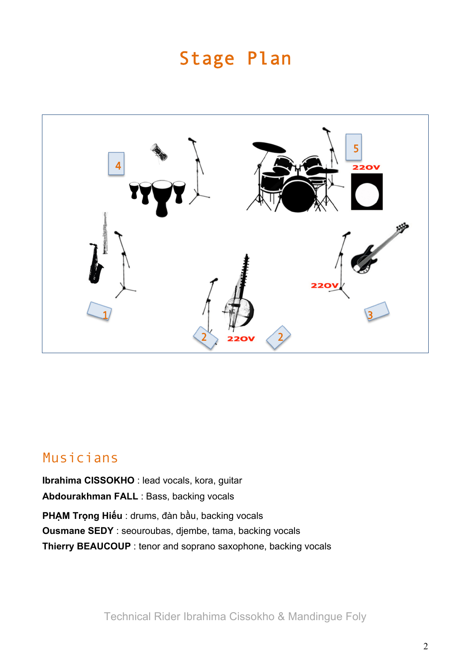#### Stage Plan



#### Musicians

**Ibrahima CISSOKHO** : lead vocals, kora, guitar **Abdourakhman FALL** : Bass, backing vocals **PHẠM Trọng Hiếu** : drums, đàn bầu, backing vocals **Ousmane SEDY** : seouroubas, djembe, tama, backing vocals **Thierry BEAUCOUP** : tenor and soprano saxophone, backing vocals

Technical Rider Ibrahima Cissokho & Mandingue Foly